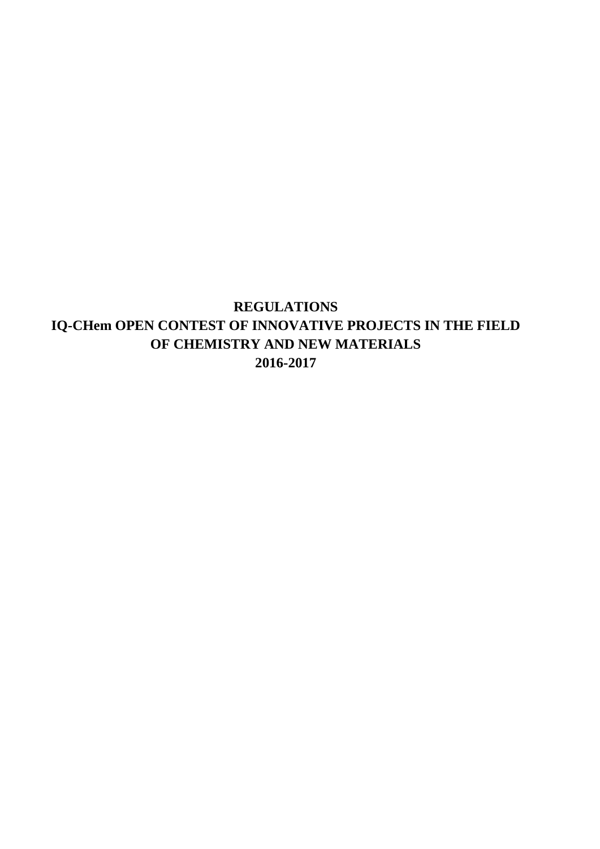**REGULATIONS IQ-CHem OPEN CONTEST OF INNOVATIVE PROJECTS IN THE FIELD OF CHEMISTRY AND NEW MATERIALS 2016-2017**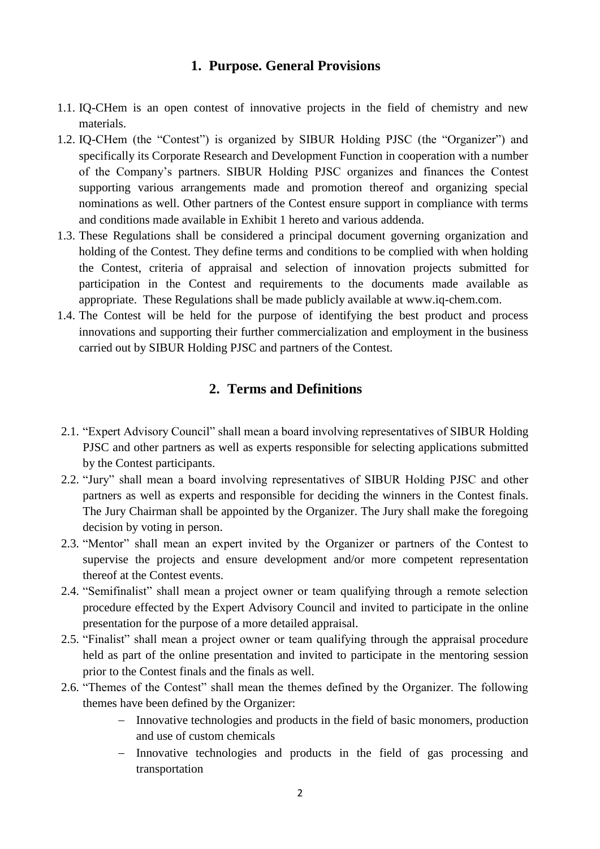## **1. Purpose. General Provisions**

- 1.1. IQ-CHem is an open contest of innovative projects in the field of chemistry and new materials.
- 1.2. IQ-CHem (the "Contest") is organized by SIBUR Holding PJSC (the "Organizer") and specifically its Corporate Research and Development Function in cooperation with a number of the Company's partners. SIBUR Holding PJSC organizes and finances the Contest supporting various arrangements made and promotion thereof and organizing special nominations as well. Other partners of the Contest ensure support in compliance with terms and conditions made available in Exhibit 1 hereto and various addenda.
- 1.3. These Regulations shall be considered a principal document governing organization and holding of the Contest. They define terms and conditions to be complied with when holding the Contest, criteria of appraisal and selection of innovation projects submitted for participation in the Contest and requirements to the documents made available as appropriate. These Regulations shall be made publicly available at www.iq-chem.com.
- 1.4. The Contest will be held for the purpose of identifying the best product and process innovations and supporting their further commercialization and employment in the business carried out by SIBUR Holding PJSC and partners of the Contest.

## **2. Terms and Definitions**

- 2.1. "Expert Advisory Council" shall mean a board involving representatives of SIBUR Holding PJSC and other partners as well as experts responsible for selecting applications submitted by the Contest participants.
- 2.2. "Jury" shall mean a board involving representatives of SIBUR Holding PJSC and other partners as well as experts and responsible for deciding the winners in the Contest finals. The Jury Chairman shall be appointed by the Organizer. The Jury shall make the foregoing decision by voting in person.
- 2.3. "Mentor" shall mean an expert invited by the Organizer or partners of the Contest to supervise the projects and ensure development and/or more competent representation thereof at the Contest events.
- 2.4. "Semifinalist" shall mean a project owner or team qualifying through a remote selection procedure effected by the Expert Advisory Council and invited to participate in the online presentation for the purpose of a more detailed appraisal.
- 2.5. "Finalist" shall mean a project owner or team qualifying through the appraisal procedure held as part of the online presentation and invited to participate in the mentoring session prior to the Contest finals and the finals as well.
- 2.6. "Themes of the Contest" shall mean the themes defined by the Organizer. The following themes have been defined by the Organizer:
	- Innovative technologies and products in the field of basic monomers, production and use of custom chemicals
	- Innovative technologies and products in the field of gas processing and transportation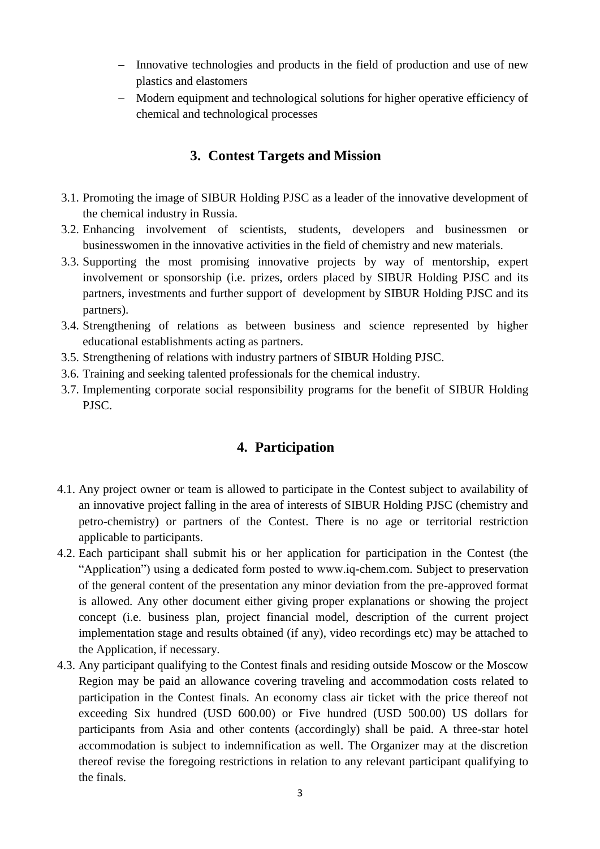- Innovative technologies and products in the field of production and use of new plastics and elastomers
- Modern equipment and technological solutions for higher operative efficiency of chemical and technological processes

# **3. Contest Targets and Mission**

- 3.1. Promoting the image of SIBUR Holding PJSC as a leader of the innovative development of the chemical industry in Russia.
- 3.2. Enhancing involvement of scientists, students, developers and businessmen or businesswomen in the innovative activities in the field of chemistry and new materials.
- 3.3. Supporting the most promising innovative projects by way of mentorship, expert involvement or sponsorship (i.e. prizes, orders placed by SIBUR Holding PJSC and its partners, investments and further support of development by SIBUR Holding PJSC and its partners).
- 3.4. Strengthening of relations as between business and science represented by higher educational establishments acting as partners.
- 3.5. Strengthening of relations with industry partners of SIBUR Holding PJSC.
- 3.6. Training and seeking talented professionals for the chemical industry.
- 3.7. Implementing corporate social responsibility programs for the benefit of SIBUR Holding PJSC.

## **4. Participation**

- 4.1. Any project owner or team is allowed to participate in the Contest subject to availability of an innovative project falling in the area of interests of SIBUR Holding PJSC (chemistry and petro-chemistry) or partners of the Contest. There is no age or territorial restriction applicable to participants.
- 4.2. Each participant shall submit his or her application for participation in the Contest (the "Application") using a dedicated form posted to www.iq-chem.com. Subject to preservation of the general content of the presentation any minor deviation from the pre-approved format is allowed. Any other document either giving proper explanations or showing the project concept (i.e. business plan, project financial model, description of the current project implementation stage and results obtained (if any), video recordings etc) may be attached to the Application, if necessary.
- 4.3. Any participant qualifying to the Contest finals and residing outside Moscow or the Moscow Region may be paid an allowance covering traveling and accommodation costs related to participation in the Contest finals. An economy class air ticket with the price thereof not exceeding Six hundred (USD 600.00) or Five hundred (USD 500.00) US dollars for participants from Asia and other contents (accordingly) shall be paid. A three-star hotel accommodation is subject to indemnification as well. The Organizer may at the discretion thereof revise the foregoing restrictions in relation to any relevant participant qualifying to the finals.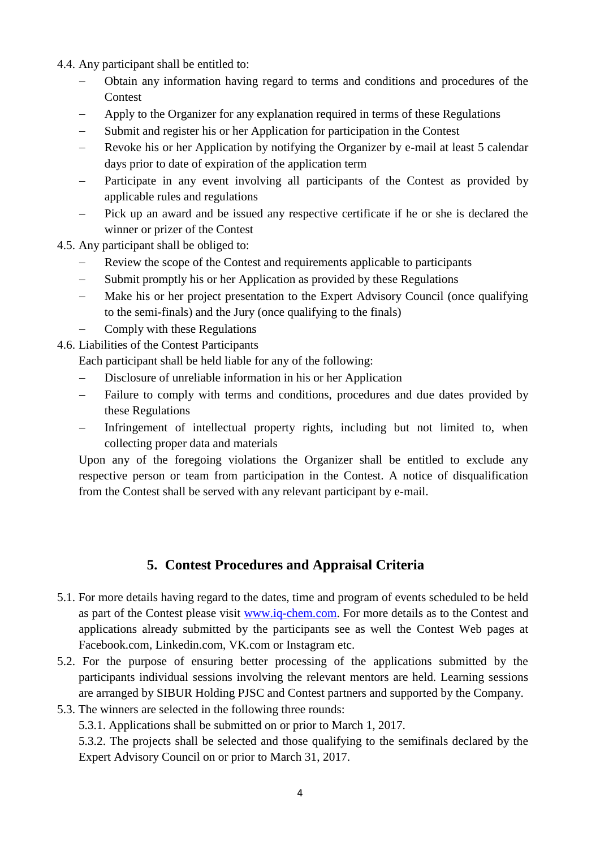4.4. Any participant shall be entitled to:

- Obtain any information having regard to terms and conditions and procedures of the Contest
- Apply to the Organizer for any explanation required in terms of these Regulations
- Submit and register his or her Application for participation in the Contest
- Revoke his or her Application by notifying the Organizer by e-mail at least 5 calendar days prior to date of expiration of the application term
- Participate in any event involving all participants of the Contest as provided by applicable rules and regulations
- Pick up an award and be issued any respective certificate if he or she is declared the winner or prizer of the Contest
- 4.5. Any participant shall be obliged to:
	- Review the scope of the Contest and requirements applicable to participants
	- Submit promptly his or her Application as provided by these Regulations
	- Make his or her project presentation to the Expert Advisory Council (once qualifying to the semi-finals) and the Jury (once qualifying to the finals)
	- Comply with these Regulations
- 4.6. Liabilities of the Contest Participants

Each participant shall be held liable for any of the following:

- Disclosure of unreliable information in his or her Application
- Failure to comply with terms and conditions, procedures and due dates provided by these Regulations
- Infringement of intellectual property rights, including but not limited to, when collecting proper data and materials

Upon any of the foregoing violations the Organizer shall be entitled to exclude any respective person or team from participation in the Contest. A notice of disqualification from the Contest shall be served with any relevant participant by e-mail.

# **5. Contest Procedures and Appraisal Criteria**

- 5.1. For more details having regard to the dates, time and program of events scheduled to be held as part of the Contest please visit [www.iq-chem.com.](http://www.iq-chem.com/) For more details as to the Contest and applications already submitted by the participants see as well the Contest Web pages at Facebook.com, Linkedin.com, VK.com or Instagram etc.
- 5.2. For the purpose of ensuring better processing of the applications submitted by the participants individual sessions involving the relevant mentors are held. Learning sessions are arranged by SIBUR Holding PJSC and Contest partners and supported by the Company.
- 5.3. The winners are selected in the following three rounds:

5.3.1. Applications shall be submitted on or prior to March 1, 2017.

5.3.2. The projects shall be selected and those qualifying to the semifinals declared by the Expert Advisory Council on or prior to March 31, 2017.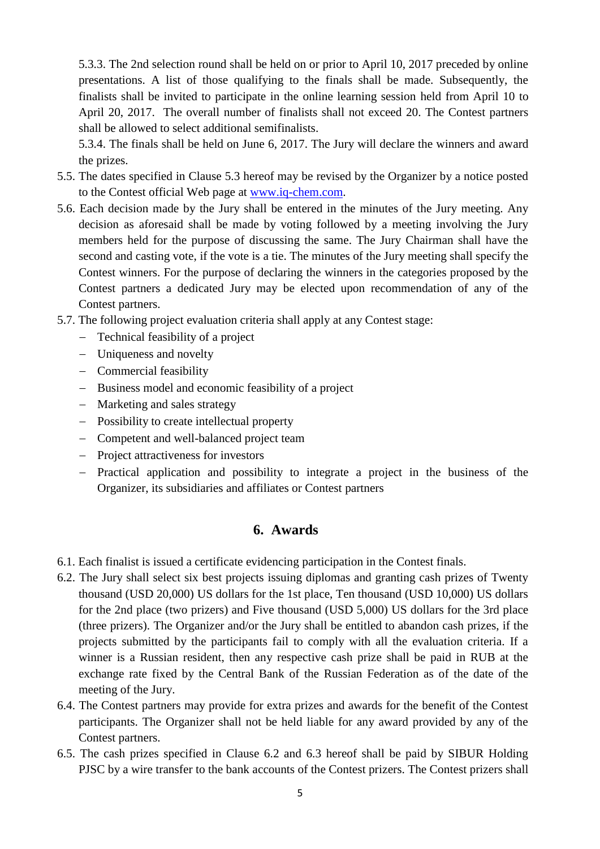5.3.3. The 2nd selection round shall be held on or prior to April 10, 2017 preceded by online presentations. A list of those qualifying to the finals shall be made. Subsequently, the finalists shall be invited to participate in the online learning session held from April 10 to April 20, 2017. The overall number of finalists shall not exceed 20. The Contest partners shall be allowed to select additional semifinalists.

5.3.4. The finals shall be held on June 6, 2017. The Jury will declare the winners and award the prizes.

- 5.5. The dates specified in Clause 5.3 hereof may be revised by the Organizer by a notice posted to the Contest official Web page at [www.iq-chem.com.](http://www.iq-chem.com/)
- 5.6. Each decision made by the Jury shall be entered in the minutes of the Jury meeting. Any decision as aforesaid shall be made by voting followed by a meeting involving the Jury members held for the purpose of discussing the same. The Jury Chairman shall have the second and casting vote, if the vote is a tie. The minutes of the Jury meeting shall specify the Contest winners. For the purpose of declaring the winners in the categories proposed by the Contest partners a dedicated Jury may be elected upon recommendation of any of the Contest partners.
- 5.7. The following project evaluation criteria shall apply at any Contest stage:
	- Technical feasibility of a project
	- Uniqueness and novelty
	- Commercial feasibility
	- Business model and economic feasibility of a project
	- Marketing and sales strategy
	- Possibility to create intellectual property
	- Competent and well-balanced project team
	- Project attractiveness for investors
	- Practical application and possibility to integrate a project in the business of the Organizer, its subsidiaries and affiliates or Contest partners

# **6. Awards**

- 6.1. Each finalist is issued a certificate evidencing participation in the Contest finals.
- 6.2. The Jury shall select six best projects issuing diplomas and granting cash prizes of Twenty thousand (USD 20,000) US dollars for the 1st place, Ten thousand (USD 10,000) US dollars for the 2nd place (two prizers) and Five thousand (USD 5,000) US dollars for the 3rd place (three prizers). The Organizer and/or the Jury shall be entitled to abandon cash prizes, if the projects submitted by the participants fail to comply with all the evaluation criteria. If a winner is a Russian resident, then any respective cash prize shall be paid in RUB at the exchange rate fixed by the Central Bank of the Russian Federation as of the date of the meeting of the Jury.
- 6.4. The Contest partners may provide for extra prizes and awards for the benefit of the Contest participants. The Organizer shall not be held liable for any award provided by any of the Contest partners.
- 6.5. The cash prizes specified in Clause 6.2 and 6.3 hereof shall be paid by SIBUR Holding PJSC by a wire transfer to the bank accounts of the Contest prizers. The Contest prizers shall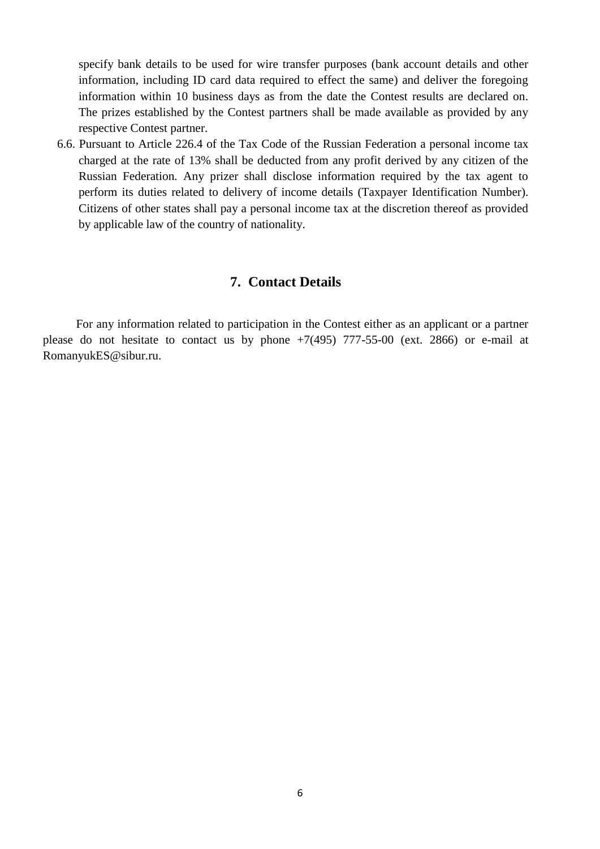specify bank details to be used for wire transfer purposes (bank account details and other information, including ID card data required to effect the same) and deliver the foregoing information within 10 business days as from the date the Contest results are declared on. The prizes established by the Contest partners shall be made available as provided by any respective Contest partner.

6.6. Pursuant to Article 226.4 of the Tax Code of the Russian Federation a personal income tax charged at the rate of 13% shall be deducted from any profit derived by any citizen of the Russian Federation. Any prizer shall disclose information required by the tax agent to perform its duties related to delivery of income details (Taxpayer Identification Number). Citizens of other states shall pay a personal income tax at the discretion thereof as provided by applicable law of the country of nationality.

## **7. Contact Details**

 For any information related to participation in the Contest either as an applicant or a partner please do not hesitate to contact us by phone  $+7(495)$  777-55-00 (ext. 2866) or e-mail at RomanyukES@sibur.ru.